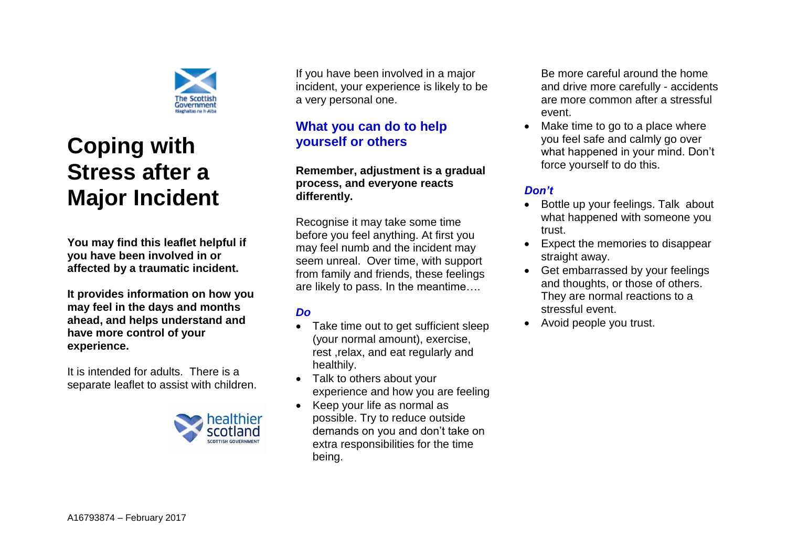

# **Coping with Stress after a Major Incident**

**You may find this leaflet helpful if you have been involved in or affected by a traumatic incident.**

**It provides information on how you may feel in the days and months ahead, and helps understand and have more control of your experience.** 

It is intended for adults. There is a separate leaflet to assist with children.



If you have been involved in a major incident, your experience is likely to be a very personal one.

### **What you can do to help yourself or others**

#### **Remember, adjustment is a gradual process, and everyone reacts differently.**

Recognise it may take some time before you feel anything. At first you may feel numb and the incident may seem unreal. Over time, with support from family and friends, these feelings are likely to pass. In the meantime….

#### *Do*

- Take time out to get sufficient sleep (your normal amount), exercise, rest ,relax, and eat regularly and healthily.
- Talk to others about your experience and how you are feeling
- Keep your life as normal as possible. Try to reduce outside demands on you and don't take on extra responsibilities for the time being.

Be more careful around the home and drive more carefully - accidents are more common after a stressful event.

 Make time to go to a place where you feel safe and calmly go over what happened in your mind. Don't force yourself to do this.

#### *Don't*

- Bottle up your feelings. Talk about what happened with someone you trust.
- Expect the memories to disappear straight away.
- Get embarrassed by your feelings and thoughts, or those of others. They are normal reactions to a stressful event.
- Avoid people you trust.